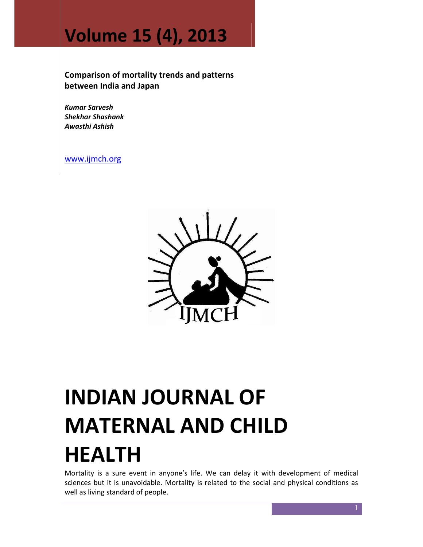## Volume 15 (4), 2013

Comparison of mortality trends and patterns between India and Japan

Kumar Sarvesh Shekhar Shashank Awasthi Ashish

www.ijmch.org



# INDIAN JOURNAL OF MATERNAL AND CHILD HEALTH

Mortality is a sure event in anyone's life. We can delay it with development of medical sciences but it is unavoidable. Mortality is related to the social and physical conditions as well as living standard of people.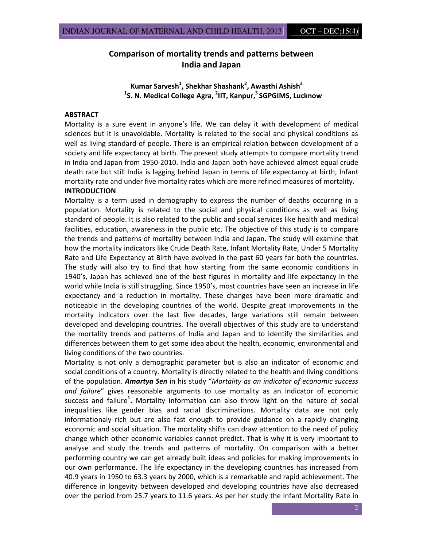### Comparison of mortality trends and patterns between India and Japan

Kumar Sarvesh<sup>1</sup>, Shekhar Shashank<sup>2</sup>, Awasthi Ashish<sup>3</sup> <sup>1</sup>S. N. Medical College Agra, <sup>2</sup>IIT, Kanpur,<sup>3</sup> SGPGIMS, Lucknow

#### ABSTRACT

Mortality is a sure event in anyone's life. We can delay it with development of medical sciences but it is unavoidable. Mortality is related to the social and physical conditions as well as living standard of people. There is an empirical relation between development of a society and life expectancy at birth. The present study attempts to compare mortality trend in India and Japan from 1950-2010. India and Japan both have achieved almost equal crude death rate but still India is lagging behind Japan in terms of life expectancy at birth, Infant mortality rate and under five mortality rates which are more refined measures of mortality. INTRODUCTION

Mortality is a term used in demography to express the number of deaths occurring in a population. Mortality is related to the social and physical conditions as well as living standard of people. It is also related to the public and social services like health and medical facilities, education, awareness in the public etc. The objective of this study is to compare the trends and patterns of mortality between India and Japan. The study will examine that how the mortality indicators like Crude Death Rate, Infant Mortality Rate, Under 5 Mortality Rate and Life Expectancy at Birth have evolved in the past 60 years for both the countries. The study will also try to find that how starting from the same economic conditions in 1940's, Japan has achieved one of the best figures in mortality and life expectancy in the world while India is still struggling. Since 1950's, most countries have seen an increase in life expectancy and a reduction in mortality. These changes have been more dramatic and noticeable in the developing countries of the world. Despite great improvements in the mortality indicators over the last five decades, large variations still remain between developed and developing countries. The overall objectives of this study are to understand the mortality trends and patterns of India and Japan and to identify the similarities and differences between them to get some idea about the health, economic, environmental and living conditions of the two countries.

Mortality is not only a demographic parameter but is also an indicator of economic and social conditions of a country. Mortality is directly related to the health and living conditions of the population. Amartya Sen in his study "Mortality as an indicator of economic success and failure" gives reasonable arguments to use mortality as an indicator of economic success and failure<sup>1</sup>. Mortality information can also throw light on the nature of social inequalities like gender bias and racial discriminations. Mortality data are not only informationaly rich but are also fast enough to provide guidance on a rapidly changing economic and social situation. The mortality shifts can draw attention to the need of policy change which other economic variables cannot predict. That is why it is very important to analyse and study the trends and patterns of mortality. On comparison with a better performing country we can get already built ideas and policies for making improvements in our own performance. The life expectancy in the developing countries has increased from 40.9 years in 1950 to 63.3 years by 2000, which is a remarkable and rapid achievement. The difference in longevity between developed and developing countries have also decreased over the period from 25.7 years to 11.6 years. As per her study the Infant Mortality Rate in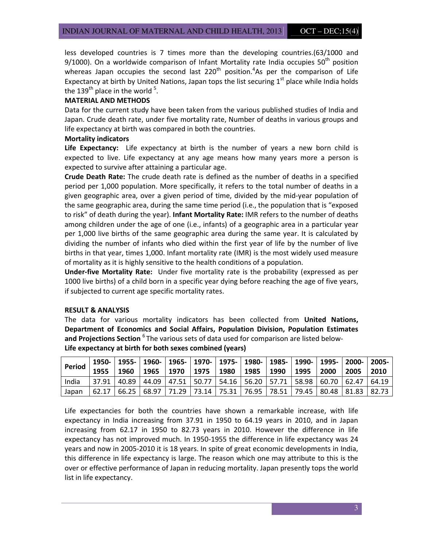less developed countries is 7 times more than the developing countries.(63/1000 and 9/1000). On a worldwide comparison of Infant Mortality rate India occupies  $50<sup>th</sup>$  position whereas Japan occupies the second last 220<sup>th</sup> position.<sup>4</sup>As per the comparison of Life Expectancy at birth by United Nations, Japan tops the list securing  $1<sup>st</sup>$  place while India holds the 139<sup>th</sup> place in the world <sup>5</sup>.

#### MATERIAL AND METHODS

Data for the current study have been taken from the various published studies of India and Japan. Crude death rate, under five mortality rate, Number of deaths in various groups and life expectancy at birth was compared in both the countries.

#### Mortality indicators

Life Expectancy: Life expectancy at birth is the number of years a new born child is expected to live. Life expectancy at any age means how many years more a person is expected to survive after attaining a particular age.

Crude Death Rate: The crude death rate is defined as the number of deaths in a specified period per 1,000 population. More specifically, it refers to the total number of deaths in a given geographic area, over a given period of time, divided by the mid-year population of the same geographic area, during the same time period (i.e., the population that is "exposed to risk" of death during the year). Infant Mortality Rate: IMR refers to the number of deaths among children under the age of one (i.e., infants) of a geographic area in a particular year per 1,000 live births of the same geographic area during the same year. It is calculated by dividing the number of infants who died within the first year of life by the number of live births in that year, times 1,000. Infant mortality rate (IMR) is the most widely used measure of mortality as it is highly sensitive to the health conditions of a population.

Under-five Mortality Rate: Under five mortality rate is the probability (expressed as per 1000 live births) of a child born in a specific year dying before reaching the age of five years, if subjected to current age specific mortality rates.

#### RESULT & ANALYSIS

The data for various mortality indicators has been collected from United Nations, Department of Economics and Social Affairs, Population Division, Population Estimates and Projections Section <sup>6</sup> The various sets of data used for comparison are listed below-Life expectancy at birth for both sexes combined (years)

| <b>Period</b> | 1955  | 1960 |  | 1950-   1955-   1960-   1965-   1970-   1975-   1980-   1985-   1990-   1995-   2000-   2005-<br>  1965   1970   1975   1980   1985 |  | 1990 | 1995 | 2000 | 2005 | 2010 |
|---------------|-------|------|--|-------------------------------------------------------------------------------------------------------------------------------------|--|------|------|------|------|------|
| India         | 37.91 |      |  | 40.89   44.09   47.51   50.77   54.16   56.20   57.71   58.98   60.70   62.47   64.19                                               |  |      |      |      |      |      |
| Japan         | 62.17 |      |  | 66.25   68.97   71.29   73.14   75.31   76.95   78.51   79.45   80.48   81.83   82.73                                               |  |      |      |      |      |      |

Life expectancies for both the countries have shown a remarkable increase, with life expectancy in India increasing from 37.91 in 1950 to 64.19 years in 2010, and in Japan increasing from 62.17 in 1950 to 82.73 years in 2010. However the difference in life expectancy has not improved much. In 1950-1955 the difference in life expectancy was 24 years and now in 2005-2010 it is 18 years. In spite of great economic developments in India, this difference in life expectancy is large. The reason which one may attribute to this is the over or effective performance of Japan in reducing mortality. Japan presently tops the world list in life expectancy.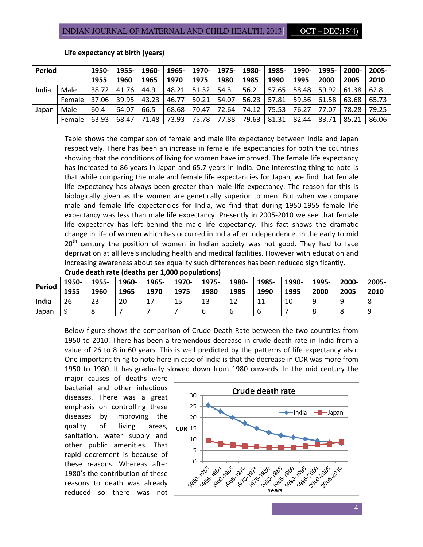| Period |                | 1950-l | <u> 1955- l</u> |                               | 1960-   1965-   1970- |       | 1975- | $ 1980- $ |       |                   | 1985-   1990-   1995-                 | 2000- l | 2005- |
|--------|----------------|--------|-----------------|-------------------------------|-----------------------|-------|-------|-----------|-------|-------------------|---------------------------------------|---------|-------|
|        |                | 1955   | 1960            | 1965                          | 1970                  | 1975  | 1980  | 1985      | 1990  | 1995              | 2000                                  | 2005    | 2010  |
| India  | Male           | 38.72  | 41.76           | 44.9                          | 48.21 51.32           |       | 54.3  | 56.2      | 57.65 |                   | 58.48 59.92 61.38                     |         | 62.8  |
|        | Female   37.06 |        | 39.95           | 43.23                         | 46.77                 | 50.21 | 54.07 |           |       |                   | 56.23 57.81 59.56 61.58               | 63.68   | 65.73 |
| Japan  | Male           | 60.4   | 64.07           | 66.5                          | 68.68                 | 70.47 | 72.64 | 74.12     |       | 75.53 76.27 77.07 |                                       | 78.28   | 79.25 |
|        | Female         | 63.93  |                 | 68.47   71.48   73.93   75.78 |                       |       | 77.88 | 79.63     |       |                   | 81.31   82.44   83.71   85.21   86.06 |         |       |

#### Life expectancy at birth (years)

Table shows the comparison of female and male life expectancy between India and Japan respectively. There has been an increase in female life expectancies for both the countries showing that the conditions of living for women have improved. The female life expectancy has increased to 86 years in Japan and 65.7 years in India. One interesting thing to note is that while comparing the male and female life expectancies for Japan, we find that female life expectancy has always been greater than male life expectancy. The reason for this is biologically given as the women are genetically superior to men. But when we compare male and female life expectancies for India, we find that during 1950-1955 female life expectancy was less than male life expectancy. Presently in 2005-2010 we see that female life expectancy has left behind the male life expectancy. This fact shows the dramatic change in life of women which has occurred in India after independence. In the early to mid  $20<sup>th</sup>$  century the position of women in Indian society was not good. They had to face deprivation at all levels including health and medical facilities. However with education and increasing awareness about sex equality such differences has been reduced significantly.

|               | Crude acath rate (acaths per 1,000 populations) |       |       |       |       |       |       |       |       |       |       |       |
|---------------|-------------------------------------------------|-------|-------|-------|-------|-------|-------|-------|-------|-------|-------|-------|
| <b>Period</b> | 1950-                                           | 1955- | 1960- | 1965- | 1970- | 1975- | 1980- | 1985- | 1990- | 1995- | 2000- | 2005- |
|               | 1955                                            | 1960  | 1965  | 1970  | 1975  | 1980  | 1985  | 1990  | 1995  | 2000  | 2005  | 2010  |
| India         | 26                                              | 23    | 20    | 17    | 15    | 13    | 12    |       | 10    | q     | q     |       |
| Japan         |                                                 | 8     |       |       |       |       |       |       |       |       |       | O     |

Crude death rate (deaths per 1,000 populations)

Below figure shows the comparison of Crude Death Rate between the two countries from 1950 to 2010. There has been a tremendous decrease in crude death rate in India from a value of 26 to 8 in 60 years. This is well predicted by the patterns of life expectancy also. One important thing to note here in case of India is that the decrease in CDR was more from 1950 to 1980. It has gradually slowed down from 1980 onwards. In the mid century the

major causes of deaths were bacterial and other infectious diseases. There was a great emphasis on controlling these diseases by improving the quality of living areas, sanitation, water supply and other public amenities. That rapid decrement is because of these reasons. Whereas after 1980's the contribution of these reasons to death was already reduced so there was not

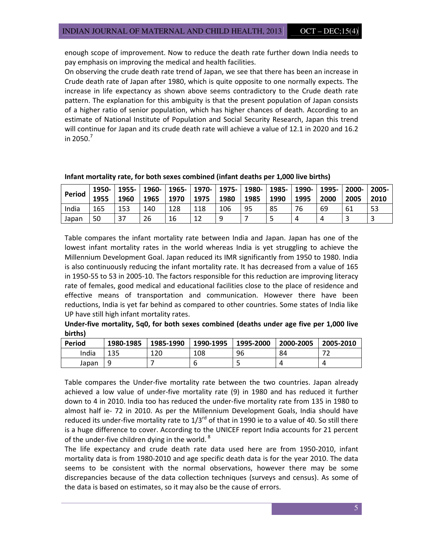enough scope of improvement. Now to reduce the death rate further down India needs to pay emphasis on improving the medical and health facilities.

On observing the crude death rate trend of Japan, we see that there has been an increase in Crude death rate of Japan after 1980, which is quite opposite to one normally expects. The increase in life expectancy as shown above seems contradictory to the Crude death rate pattern. The explanation for this ambiguity is that the present population of Japan consists of a higher ratio of senior population, which has higher chances of death. According to an estimate of National Institute of Population and Social Security Research, Japan this trend will continue for Japan and its crude death rate will achieve a value of 12.1 in 2020 and 16.2 in 2050. $^7$ 

| <b>Period</b> | 1950-<br>1955 | 1955-<br>1960 | 1965 | 1970 | 1960-   1965-   1970-   1975-   1980-   1985-  <br>1975 | 1980 | 1985 | 1990 | 1990-  <br>1995 | 1995-<br>2000 | 2000-<br>2005 | $2005 -$<br>2010 |
|---------------|---------------|---------------|------|------|---------------------------------------------------------|------|------|------|-----------------|---------------|---------------|------------------|
| India         | 165           | 153           | 140  | 128  | 118                                                     | 106  | 95   | 85   | 76              | 69            | 61            | 53               |
| Japan         | 50            | 37            | 26   | 16   |                                                         | ۹    |      |      | Δ               |               |               |                  |

Infant mortality rate, for both sexes combined (infant deaths per 1,000 live births)

Table compares the infant mortality rate between India and Japan. Japan has one of the lowest infant mortality rates in the world whereas India is yet struggling to achieve the Millennium Development Goal. Japan reduced its IMR significantly from 1950 to 1980. India is also continuously reducing the infant mortality rate. It has decreased from a value of 165 in 1950-55 to 53 in 2005-10. The factors responsible for this reduction are improving literacy rate of females, good medical and educational facilities close to the place of residence and effective means of transportation and communication. However there have been reductions, India is yet far behind as compared to other countries. Some states of India like UP have still high infant mortality rates.

Under-five mortality, 5q0, for both sexes combined (deaths under age five per 1,000 live births)

| Period | 1980-1985 | 1985-1990 | 1990-1995 | 1995-2000 | 2000-2005 | 2005-2010 |
|--------|-----------|-----------|-----------|-----------|-----------|-----------|
| India  | 135       | 120       | 108       | 96        | 84        | רד        |
| Japan  |           |           |           |           |           |           |

Table compares the Under-five mortality rate between the two countries. Japan already achieved a low value of under-five mortality rate (9) in 1980 and has reduced it further down to 4 in 2010. India too has reduced the under-five mortality rate from 135 in 1980 to almost half ie- 72 in 2010. As per the Millennium Development Goals, India should have reduced its under-five mortality rate to  $1/3^{rd}$  of that in 1990 ie to a value of 40. So still there is a huge difference to cover. According to the UNICEF report India accounts for 21 percent of the under-five children dying in the world. $8$ 

The life expectancy and crude death rate data used here are from 1950-2010, infant mortality data is from 1980-2010 and age specific death data is for the year 2010. The data seems to be consistent with the normal observations, however there may be some discrepancies because of the data collection techniques (surveys and census). As some of the data is based on estimates, so it may also be the cause of errors.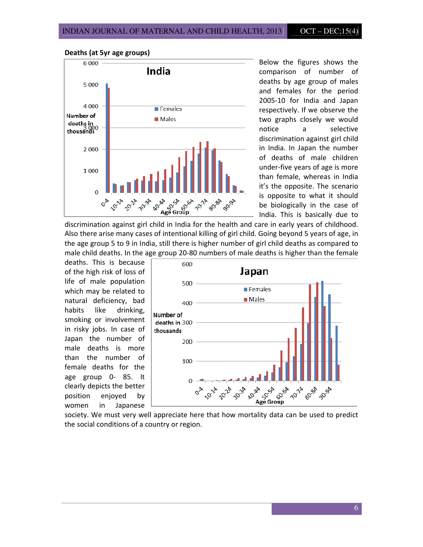

Deaths (at 5yr age groups)

Below the figures shows the comparison of number of deaths by age group of males and females for the period 2005-10 for India and Japan respectively. If we observe the two graphs closely we would notice a selective discrimination against girl child in India. In Japan the number of deaths of male children under-five years of age is more than female, whereas in India it's the opposite. The scenario is opposite to what it should be biologically in the case of India. This is basically due to

discrimination against girl child in India for the health and care in early years of childhood. Also there arise many cases of intentional killing of girl child. Going beyond 5 years of age, in the age group 5 to 9 in India, still there is higher number of girl child deaths as compared to male child deaths. In the age group 20-80 numbers of male deaths is higher than the female

deaths. This is because of the high risk of loss of life of male population which may be related to natural deficiency, bad habits like drinking, smoking or involvement in risky jobs. In case of Japan the number of male deaths is more than the number of female deaths for the age group 0- 85. It clearly depicts the better position enjoyed by women in Japanese



the social conditions of a country or region.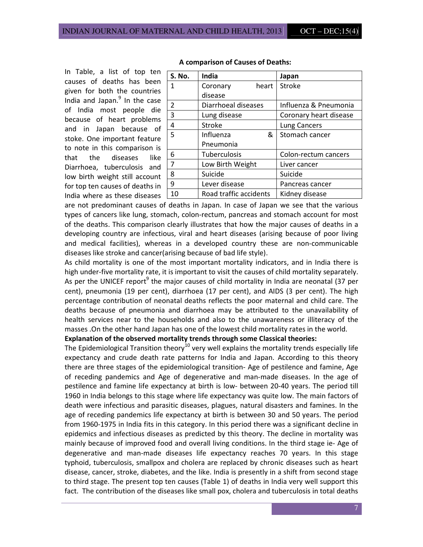In Table, a list of top ten causes of deaths has been given for both the countries India and Japan.<sup>9</sup> In the case of India most people die because of heart problems and in Japan because of stoke. One important feature to note in this comparison is that the diseases like Diarrhoea, tuberculosis and low birth weight still account for top ten causes of deaths in India where as these diseases

| S. No. | <b>India</b>           | Japan                  |
|--------|------------------------|------------------------|
| 1      | heart<br>Coronary      | Stroke                 |
|        | disease                |                        |
| 2      | Diarrhoeal diseases    | Influenza & Pneumonia  |
| 3      | Lung disease           | Coronary heart disease |
| 4      | <b>Stroke</b>          | <b>Lung Cancers</b>    |
| 5      | Influenza<br>&         | Stomach cancer         |
|        | Pneumonia              |                        |
| 6      | Tuberculosis           | Colon-rectum cancers   |
| 7      | Low Birth Weight       | Liver cancer           |
| 8      | Suicide                | Suicide                |
| 9      | Lever disease          | Pancreas cancer        |
| 10     | Road traffic accidents | Kidney disease         |

#### A comparison of Causes of Deaths:

are not predominant causes of deaths in Japan. In case of Japan we see that the various types of cancers like lung, stomach, colon-rectum, pancreas and stomach account for most of the deaths. This comparison clearly illustrates that how the major causes of deaths in a developing country are infectious, viral and heart diseases (arising because of poor living and medical facilities), whereas in a developed country these are non-communicable diseases like stroke and cancer(arising because of bad life style).

As child mortality is one of the most important mortality indicators, and in India there is high under-five mortality rate, it is important to visit the causes of child mortality separately. As per the UNICEF report<sup>9</sup> the major causes of child mortality in India are neonatal (37 per cent), pneumonia (19 per cent), diarrhoea (17 per cent), and AIDS (3 per cent). The high percentage contribution of neonatal deaths reflects the poor maternal and child care. The deaths because of pneumonia and diarrhoea may be attributed to the unavailability of health services near to the households and also to the unawareness or illiteracy of the masses .On the other hand Japan has one of the lowest child mortality rates in the world.

#### Explanation of the observed mortality trends through some Classical theories:

The Epidemiological Transition theory<sup>10</sup> very well explains the mortality trends especially life expectancy and crude death rate patterns for India and Japan. According to this theory there are three stages of the epidemiological transition- Age of pestilence and famine, Age of receding pandemics and Age of degenerative and man-made diseases. In the age of pestilence and famine life expectancy at birth is low- between 20-40 years. The period till 1960 in India belongs to this stage where life expectancy was quite low. The main factors of death were infectious and parasitic diseases, plagues, natural disasters and famines. In the age of receding pandemics life expectancy at birth is between 30 and 50 years. The period from 1960-1975 in India fits in this category. In this period there was a significant decline in epidemics and infectious diseases as predicted by this theory. The decline in mortality was mainly because of improved food and overall living conditions. In the third stage ie- Age of degenerative and man-made diseases life expectancy reaches 70 years. In this stage typhoid, tuberculosis, smallpox and cholera are replaced by chronic diseases such as heart disease, cancer, stroke, diabetes, and the like. India is presently in a shift from second stage to third stage. The present top ten causes (Table 1) of deaths in India very well support this fact. The contribution of the diseases like small pox, cholera and tuberculosis in total deaths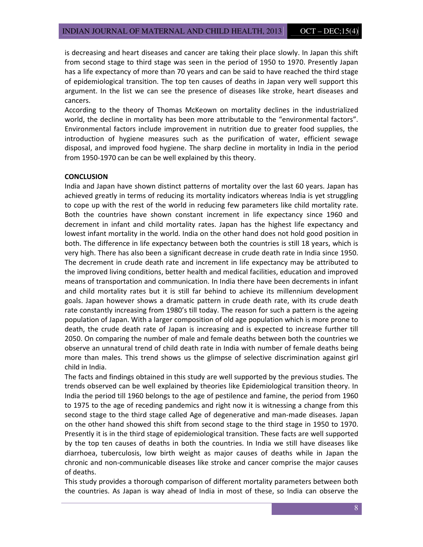is decreasing and heart diseases and cancer are taking their place slowly. In Japan this shift from second stage to third stage was seen in the period of 1950 to 1970. Presently Japan has a life expectancy of more than 70 years and can be said to have reached the third stage of epidemiological transition. The top ten causes of deaths in Japan very well support this argument. In the list we can see the presence of diseases like stroke, heart diseases and cancers.

According to the theory of Thomas McKeown on mortality declines in the industrialized world, the decline in mortality has been more attributable to the "environmental factors". Environmental factors include improvement in nutrition due to greater food supplies, the introduction of hygiene measures such as the purification of water, efficient sewage disposal, and improved food hygiene. The sharp decline in mortality in India in the period from 1950-1970 can be can be well explained by this theory.

#### **CONCLUSION**

India and Japan have shown distinct patterns of mortality over the last 60 years. Japan has achieved greatly in terms of reducing its mortality indicators whereas India is yet struggling to cope up with the rest of the world in reducing few parameters like child mortality rate. Both the countries have shown constant increment in life expectancy since 1960 and decrement in infant and child mortality rates. Japan has the highest life expectancy and lowest infant mortality in the world. India on the other hand does not hold good position in both. The difference in life expectancy between both the countries is still 18 years, which is very high. There has also been a significant decrease in crude death rate in India since 1950. The decrement in crude death rate and increment in life expectancy may be attributed to the improved living conditions, better health and medical facilities, education and improved means of transportation and communication. In India there have been decrements in infant and child mortality rates but it is still far behind to achieve its millennium development goals. Japan however shows a dramatic pattern in crude death rate, with its crude death rate constantly increasing from 1980's till today. The reason for such a pattern is the ageing population of Japan. With a larger composition of old age population which is more prone to death, the crude death rate of Japan is increasing and is expected to increase further till 2050. On comparing the number of male and female deaths between both the countries we observe an unnatural trend of child death rate in India with number of female deaths being more than males. This trend shows us the glimpse of selective discrimination against girl child in India.

The facts and findings obtained in this study are well supported by the previous studies. The trends observed can be well explained by theories like Epidemiological transition theory. In India the period till 1960 belongs to the age of pestilence and famine, the period from 1960 to 1975 to the age of receding pandemics and right now it is witnessing a change from this second stage to the third stage called Age of degenerative and man-made diseases. Japan on the other hand showed this shift from second stage to the third stage in 1950 to 1970. Presently it is in the third stage of epidemiological transition. These facts are well supported by the top ten causes of deaths in both the countries. In India we still have diseases like diarrhoea, tuberculosis, low birth weight as major causes of deaths while in Japan the chronic and non-communicable diseases like stroke and cancer comprise the major causes of deaths.

This study provides a thorough comparison of different mortality parameters between both the countries. As Japan is way ahead of India in most of these, so India can observe the